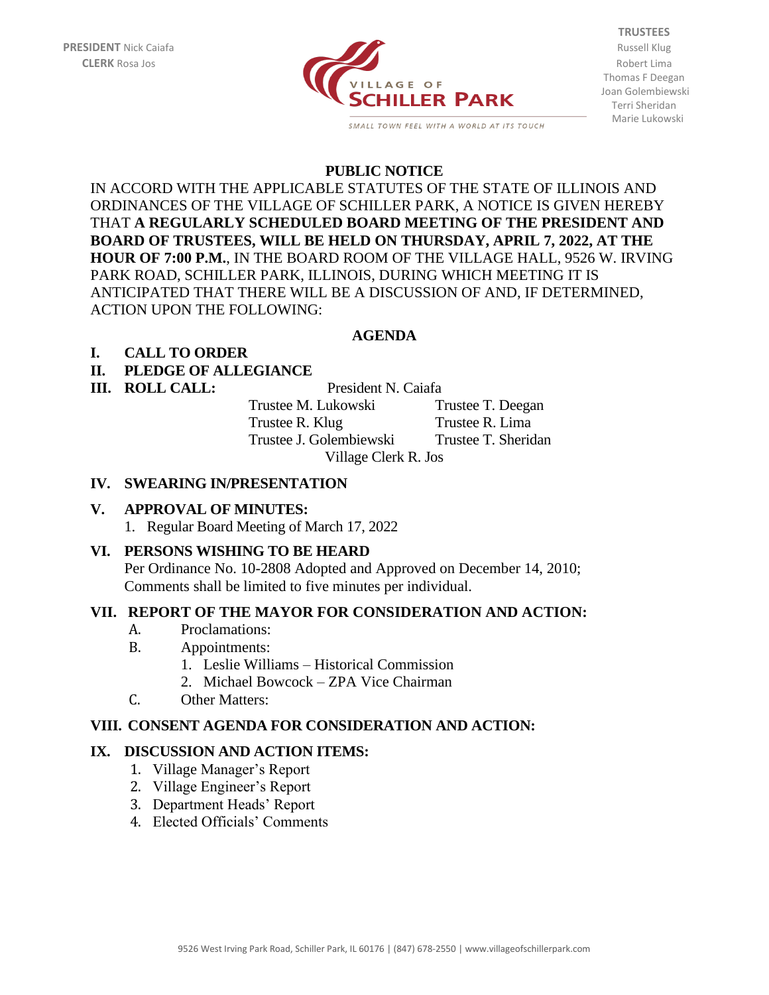

SMALL TOWN FEEL WITH A WORLD AT ITS TOUCH

**TRUSTEES** Thomas F Deegan Joan Golembiewski Terri Sheridan Marie Lukowski

## **PUBLIC NOTICE**

IN ACCORD WITH THE APPLICABLE STATUTES OF THE STATE OF ILLINOIS AND ORDINANCES OF THE VILLAGE OF SCHILLER PARK, A NOTICE IS GIVEN HEREBY THAT **A REGULARLY SCHEDULED BOARD MEETING OF THE PRESIDENT AND BOARD OF TRUSTEES, WILL BE HELD ON THURSDAY, APRIL 7, 2022, AT THE HOUR OF 7:00 P.M.**, IN THE BOARD ROOM OF THE VILLAGE HALL, 9526 W. IRVING PARK ROAD, SCHILLER PARK, ILLINOIS, DURING WHICH MEETING IT IS ANTICIPATED THAT THERE WILL BE A DISCUSSION OF AND, IF DETERMINED, ACTION UPON THE FOLLOWING:

# **AGENDA**

## **I. CALL TO ORDER**

## **II. PLEDGE OF ALLEGIANCE**

#### **III. ROLL CALL:** President N. Caiafa

Trustee M. Lukowski Trustee T. Deegan Trustee R. Klug Trustee R. Lima Trustee J. Golembiewski Trustee T. Sheridan Village Clerk R. Jos

#### **IV. SWEARING IN/PRESENTATION**

## **V. APPROVAL OF MINUTES:**

1. Regular Board Meeting of March 17, 2022

## **VI. PERSONS WISHING TO BE HEARD**

Per Ordinance No. 10-2808 Adopted and Approved on December 14, 2010; Comments shall be limited to five minutes per individual.

# **VII. REPORT OF THE MAYOR FOR CONSIDERATION AND ACTION:**

- A. Proclamations:
- B. Appointments:
	- 1. Leslie Williams Historical Commission
	- 2. Michael Bowcock ZPA Vice Chairman
- C. Other Matters:

## **VIII. CONSENT AGENDA FOR CONSIDERATION AND ACTION:**

## **IX. DISCUSSION AND ACTION ITEMS:**

- 1. Village Manager's Report
- 2. Village Engineer's Report
- 3. Department Heads' Report
- 4. Elected Officials' Comments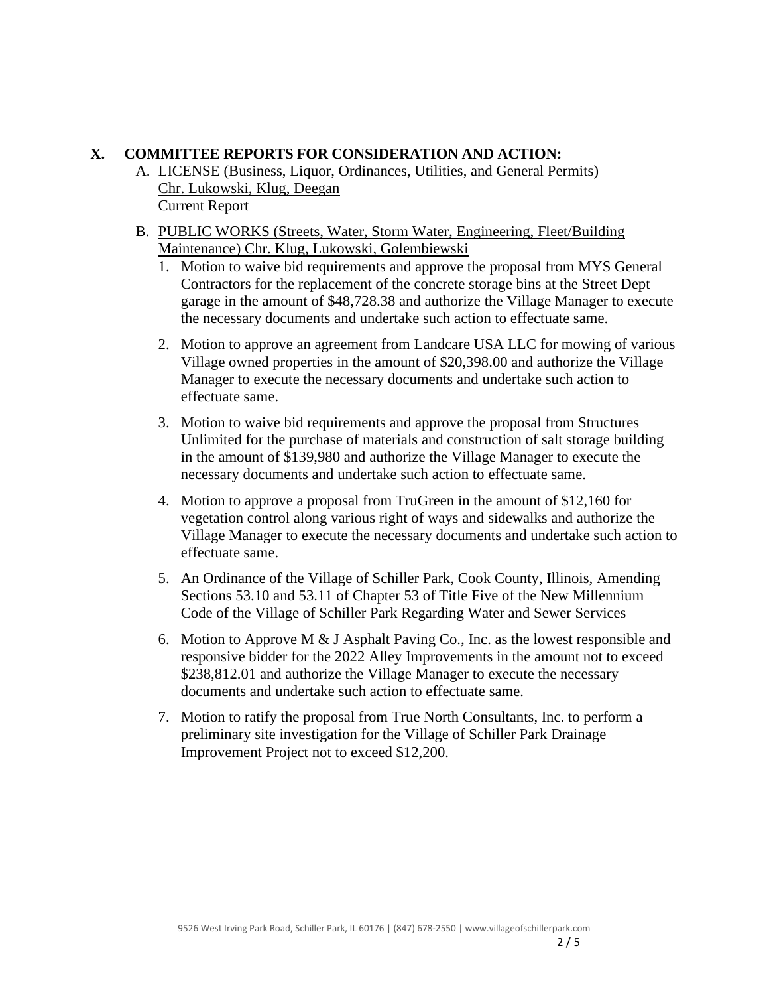# **X. COMMITTEE REPORTS FOR CONSIDERATION AND ACTION:**

- A. LICENSE (Business, Liquor, Ordinances, Utilities, and General Permits) Chr. Lukowski, Klug, Deegan Current Report
- B. PUBLIC WORKS (Streets, Water, Storm Water, Engineering, Fleet/Building Maintenance) Chr. Klug, Lukowski, Golembiewski
	- 1. Motion to waive bid requirements and approve the proposal from MYS General Contractors for the replacement of the concrete storage bins at the Street Dept garage in the amount of \$48,728.38 and authorize the Village Manager to execute the necessary documents and undertake such action to effectuate same.
	- 2. Motion to approve an agreement from Landcare USA LLC for mowing of various Village owned properties in the amount of \$20,398.00 and authorize the Village Manager to execute the necessary documents and undertake such action to effectuate same.
	- 3. Motion to waive bid requirements and approve the proposal from Structures Unlimited for the purchase of materials and construction of salt storage building in the amount of \$139,980 and authorize the Village Manager to execute the necessary documents and undertake such action to effectuate same.
	- 4. Motion to approve a proposal from TruGreen in the amount of \$12,160 for vegetation control along various right of ways and sidewalks and authorize the Village Manager to execute the necessary documents and undertake such action to effectuate same.
	- 5. An Ordinance of the Village of Schiller Park, Cook County, Illinois, Amending Sections 53.10 and 53.11 of Chapter 53 of Title Five of the New Millennium Code of the Village of Schiller Park Regarding Water and Sewer Services
	- 6. Motion to Approve M & J Asphalt Paving Co., Inc. as the lowest responsible and responsive bidder for the 2022 Alley Improvements in the amount not to exceed \$238,812.01 and authorize the Village Manager to execute the necessary documents and undertake such action to effectuate same.
	- 7. Motion to ratify the proposal from True North Consultants, Inc. to perform a preliminary site investigation for the Village of Schiller Park Drainage Improvement Project not to exceed \$12,200.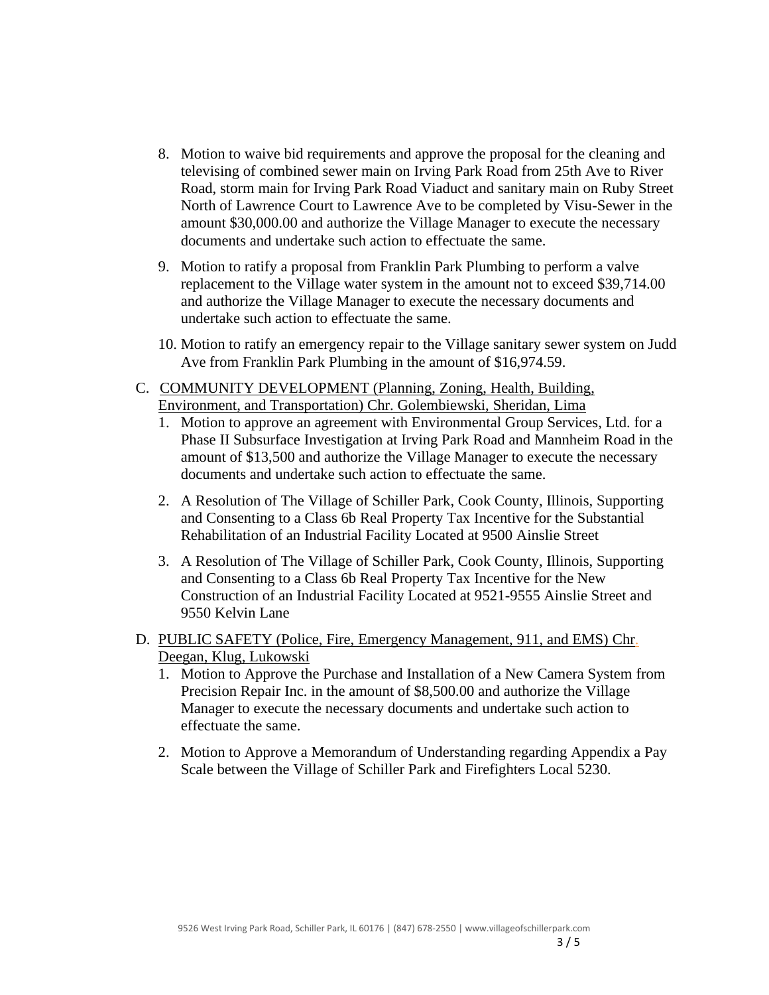- 8. Motion to waive bid requirements and approve the proposal for the cleaning and televising of combined sewer main on Irving Park Road from 25th Ave to River Road, storm main for Irving Park Road Viaduct and sanitary main on Ruby Street North of Lawrence Court to Lawrence Ave to be completed by Visu-Sewer in the amount \$30,000.00 and authorize the Village Manager to execute the necessary documents and undertake such action to effectuate the same.
- 9. Motion to ratify a proposal from Franklin Park Plumbing to perform a valve replacement to the Village water system in the amount not to exceed \$39,714.00 and authorize the Village Manager to execute the necessary documents and undertake such action to effectuate the same.
- 10. Motion to ratify an emergency repair to the Village sanitary sewer system on Judd Ave from Franklin Park Plumbing in the amount of \$16,974.59.
- C. COMMUNITY DEVELOPMENT (Planning, Zoning, Health, Building, Environment, and Transportation) Chr. Golembiewski, Sheridan, Lima
	- 1. Motion to approve an agreement with Environmental Group Services, Ltd. for a Phase II Subsurface Investigation at Irving Park Road and Mannheim Road in the amount of \$13,500 and authorize the Village Manager to execute the necessary documents and undertake such action to effectuate the same.
	- 2. A Resolution of The Village of Schiller Park, Cook County, Illinois, Supporting and Consenting to a Class 6b Real Property Tax Incentive for the Substantial Rehabilitation of an Industrial Facility Located at 9500 Ainslie Street
	- 3. A Resolution of The Village of Schiller Park, Cook County, Illinois, Supporting and Consenting to a Class 6b Real Property Tax Incentive for the New Construction of an Industrial Facility Located at 9521-9555 Ainslie Street and 9550 Kelvin Lane
- D. PUBLIC SAFETY (Police, Fire, Emergency Management, 911, and EMS) Chr. Deegan, Klug, Lukowski
	- 1. Motion to Approve the Purchase and Installation of a New Camera System from Precision Repair Inc. in the amount of \$8,500.00 and authorize the Village Manager to execute the necessary documents and undertake such action to effectuate the same.
	- 2. Motion to Approve a Memorandum of Understanding regarding Appendix a Pay Scale between the Village of Schiller Park and Firefighters Local 5230.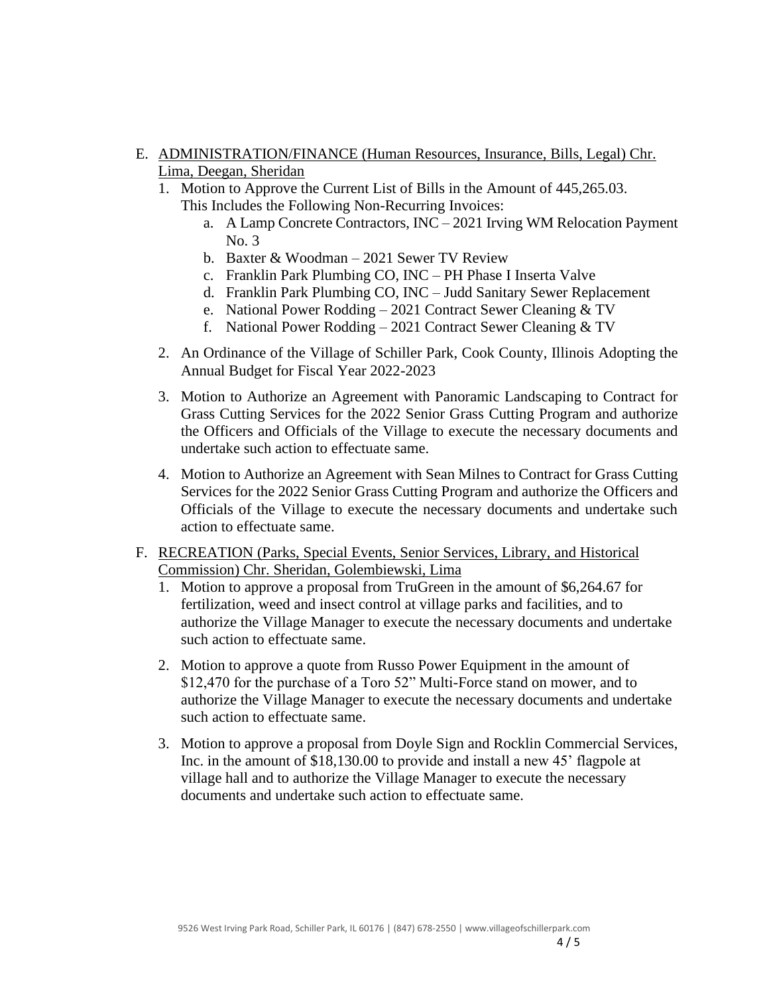# E. ADMINISTRATION/FINANCE (Human Resources, Insurance, Bills, Legal) Chr. Lima, Deegan, Sheridan

- 1. Motion to Approve the Current List of Bills in the Amount of 445,265.03.
	- This Includes the Following Non-Recurring Invoices:
		- a. A Lamp Concrete Contractors, INC 2021 Irving WM Relocation Payment No. 3
		- b. Baxter & Woodman 2021 Sewer TV Review
		- c. Franklin Park Plumbing CO, INC PH Phase I Inserta Valve
		- d. Franklin Park Plumbing CO, INC Judd Sanitary Sewer Replacement
		- e. National Power Rodding 2021 Contract Sewer Cleaning & TV
		- f. National Power Rodding 2021 Contract Sewer Cleaning & TV
- 2. An Ordinance of the Village of Schiller Park, Cook County, Illinois Adopting the Annual Budget for Fiscal Year 2022-2023
- 3. Motion to Authorize an Agreement with Panoramic Landscaping to Contract for Grass Cutting Services for the 2022 Senior Grass Cutting Program and authorize the Officers and Officials of the Village to execute the necessary documents and undertake such action to effectuate same.
- 4. Motion to Authorize an Agreement with Sean Milnes to Contract for Grass Cutting Services for the 2022 Senior Grass Cutting Program and authorize the Officers and Officials of the Village to execute the necessary documents and undertake such action to effectuate same.
- F. RECREATION (Parks, Special Events, Senior Services, Library, and Historical Commission) Chr. Sheridan, Golembiewski, Lima
	- 1. Motion to approve a proposal from TruGreen in the amount of \$6,264.67 for fertilization, weed and insect control at village parks and facilities, and to authorize the Village Manager to execute the necessary documents and undertake such action to effectuate same.
	- 2. Motion to approve a quote from Russo Power Equipment in the amount of \$12,470 for the purchase of a Toro 52" Multi-Force stand on mower, and to authorize the Village Manager to execute the necessary documents and undertake such action to effectuate same.
	- 3. Motion to approve a proposal from Doyle Sign and Rocklin Commercial Services, Inc. in the amount of \$18,130.00 to provide and install a new 45' flagpole at village hall and to authorize the Village Manager to execute the necessary documents and undertake such action to effectuate same.